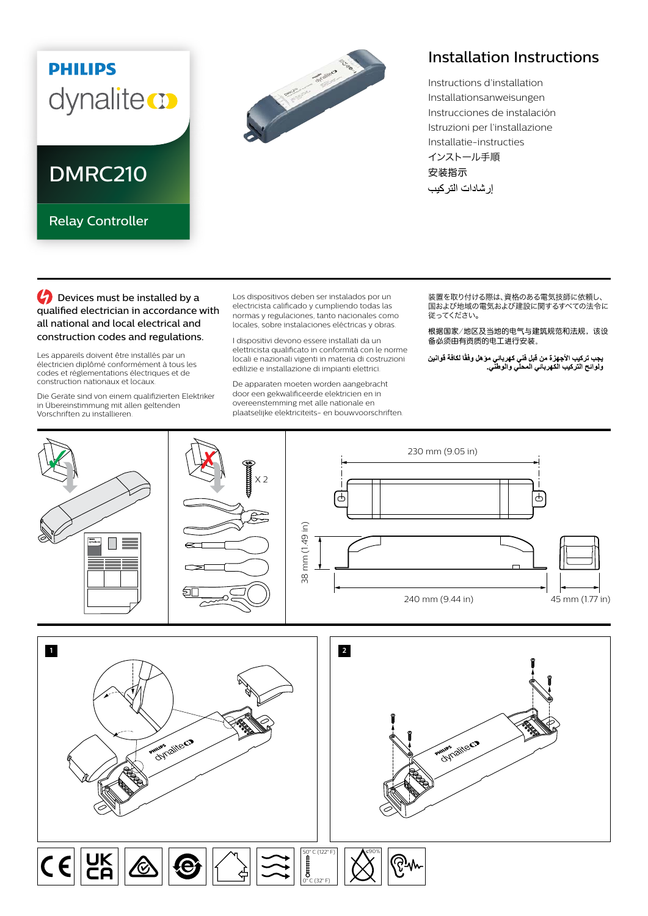## **PHILIPS** dynaliteco

DMRC210

Relay Controller

## **Contract Contract Contract Contract Contract Contract Contract Contract Contract Contract Contract Contract Contract Contract Contract Contract Contract Contract Contract Contract Contract Contract Contract Contract Contr**

## Installation Instructions

Instructions d'installation Installationsanweisungen Instrucciones de instalación Istruzioni per l'installazione Installatie-instructies インストール手順 安装指示 إر شادات التر كيب

**C** Devices must be installed by a qualified electrician in accordance with all national and local electrical and construction codes and regulations.

Les appareils doivent être installés par un électricien diplômé conformément à tous les codes et réglementations électriques et de construction nationaux et locaux.

Die Geräte sind von einem qualifizierten Elektriker in Übereinstimmung mit allen geltenden Vorschriften zu installieren.

Los dispositivos deben ser instalados por un electricista calificado y cumpliendo todas las normas y regulaciones, tanto nacionales como locales, sobre instalaciones eléctricas y obras.

I dispositivi devono essere installati da un elettricista qualificato in conformità con le norme locali e nazionali vigenti in materia di costruzioni edilizie e installazione di impianti elettrici.

De apparaten moeten worden aangebracht door een gekwalificeerde elektricien en in overeenstemming met alle nationale en plaatselijke elektriciteits- en bouwvoorschriften. 装置を取り付ける際は、資格のある電気技師に依頼し、 ーーーーーーの ここで こころ ここの ここの ここの ここの<br>国および地域の電気および建設に関するすべての法令に 従ってください。

根据国家/地区及当地的电气与建筑规范和法规,该设 备必须由有资质的电工进行安装。

يجب تركيب الأجهزة من قبل فني كهرباني موّ هل وفقًا لكافة قوانين<br>ولوائح التركيب الكهرباني المحلي والوطني<sub>.</sub>